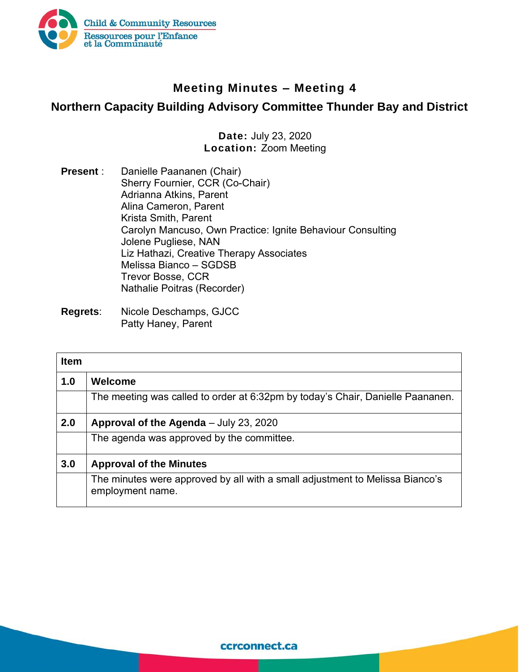

## **Meeting Minutes – Meeting 4**

## **Northern Capacity Building Advisory Committee Thunder Bay and District**

## **Date:** July 23, 2020 **Location:** Zoom Meeting

- **Present** : Danielle Paananen (Chair) Sherry Fournier, CCR (Co-Chair) Adrianna Atkins, Parent Alina Cameron, Parent Krista Smith, Parent Carolyn Mancuso, Own Practice: Ignite Behaviour Consulting Jolene Pugliese, NAN Liz Hathazi, Creative Therapy Associates Melissa Bianco – SGDSB Trevor Bosse, CCR Nathalie Poitras (Recorder)
- **Regrets**: Nicole Deschamps, GJCC Patty Haney, Parent

| <b>Item</b> |                                                                                                  |
|-------------|--------------------------------------------------------------------------------------------------|
| 1.0         | <b>Welcome</b>                                                                                   |
|             | The meeting was called to order at 6:32pm by today's Chair, Danielle Paananen.                   |
| 2.0         | Approval of the Agenda - July 23, 2020                                                           |
|             | The agenda was approved by the committee.                                                        |
| 3.0         | <b>Approval of the Minutes</b>                                                                   |
|             | The minutes were approved by all with a small adjustment to Melissa Bianco's<br>employment name. |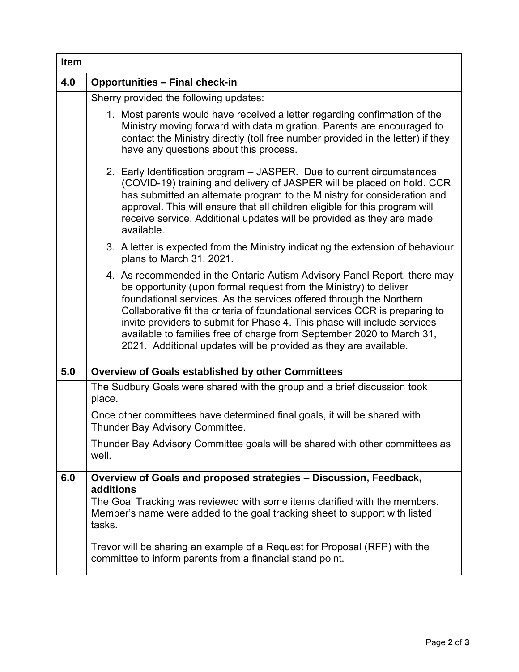| <b>Item</b> |                                                                                                                                                                                                                                                                                                                                                                                                                                                                                                                              |
|-------------|------------------------------------------------------------------------------------------------------------------------------------------------------------------------------------------------------------------------------------------------------------------------------------------------------------------------------------------------------------------------------------------------------------------------------------------------------------------------------------------------------------------------------|
| 4.0         | <b>Opportunities - Final check-in</b>                                                                                                                                                                                                                                                                                                                                                                                                                                                                                        |
|             | Sherry provided the following updates:                                                                                                                                                                                                                                                                                                                                                                                                                                                                                       |
|             | 1. Most parents would have received a letter regarding confirmation of the<br>Ministry moving forward with data migration. Parents are encouraged to<br>contact the Ministry directly (toll free number provided in the letter) if they<br>have any questions about this process.                                                                                                                                                                                                                                            |
|             | 2. Early Identification program – JASPER. Due to current circumstances<br>(COVID-19) training and delivery of JASPER will be placed on hold. CCR<br>has submitted an alternate program to the Ministry for consideration and<br>approval. This will ensure that all children eligible for this program will<br>receive service. Additional updates will be provided as they are made<br>available.                                                                                                                           |
|             | 3. A letter is expected from the Ministry indicating the extension of behaviour<br>plans to March 31, 2021.                                                                                                                                                                                                                                                                                                                                                                                                                  |
|             | 4. As recommended in the Ontario Autism Advisory Panel Report, there may<br>be opportunity (upon formal request from the Ministry) to deliver<br>foundational services. As the services offered through the Northern<br>Collaborative fit the criteria of foundational services CCR is preparing to<br>invite providers to submit for Phase 4. This phase will include services<br>available to families free of charge from September 2020 to March 31,<br>2021. Additional updates will be provided as they are available. |
| 5.0         | <b>Overview of Goals established by other Committees</b>                                                                                                                                                                                                                                                                                                                                                                                                                                                                     |
|             | The Sudbury Goals were shared with the group and a brief discussion took<br>place.                                                                                                                                                                                                                                                                                                                                                                                                                                           |
|             | Once other committees have determined final goals, it will be shared with<br>Thunder Bay Advisory Committee.                                                                                                                                                                                                                                                                                                                                                                                                                 |
|             | Thunder Bay Advisory Committee goals will be shared with other committees as<br>well.                                                                                                                                                                                                                                                                                                                                                                                                                                        |
| 6.0         | Overview of Goals and proposed strategies - Discussion, Feedback,<br>additions                                                                                                                                                                                                                                                                                                                                                                                                                                               |
|             | The Goal Tracking was reviewed with some items clarified with the members.<br>Member's name were added to the goal tracking sheet to support with listed<br>tasks.                                                                                                                                                                                                                                                                                                                                                           |
|             | Trevor will be sharing an example of a Request for Proposal (RFP) with the<br>committee to inform parents from a financial stand point.                                                                                                                                                                                                                                                                                                                                                                                      |